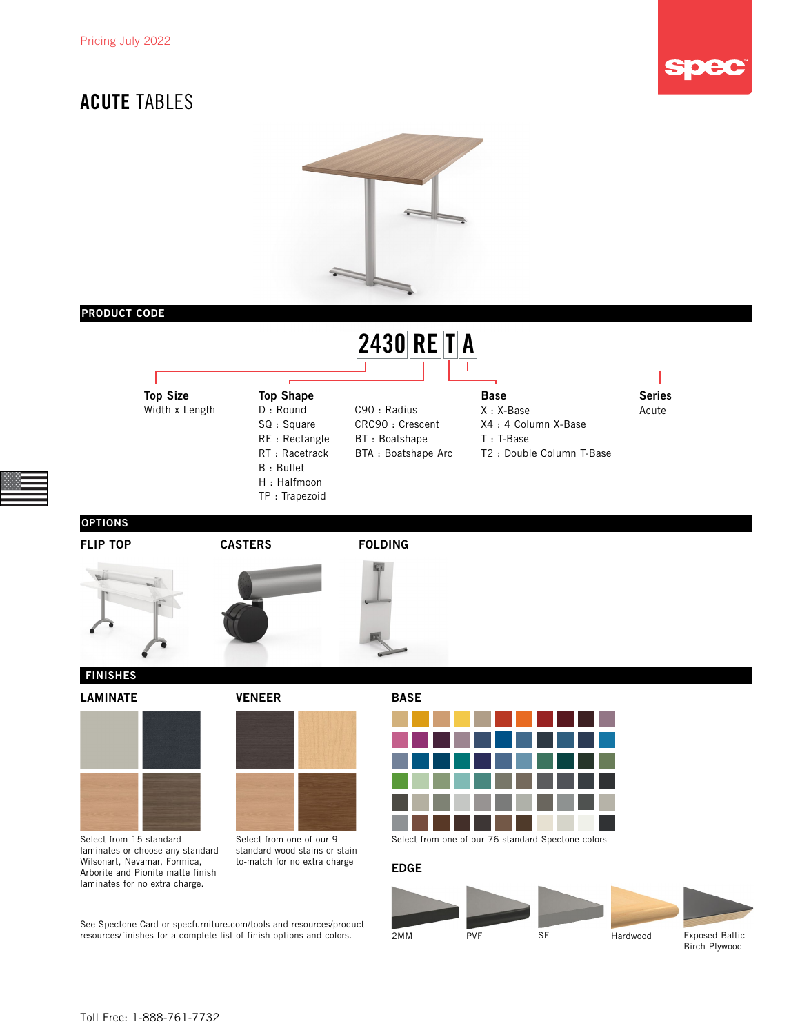

## ACUTE TABLES



### PRODUCT CODE



CRC90 : Crescent BT : Boatshape BTA : Boatshape Arc

## Top Size

D : Round SQ : Square RE : Rectangle RT : Racetrack B : Bullet H : Halfmoon TP : Trapezoid Top Shape Series and Series Series Series Series Series

- Width x Length D: Round C90 : Radius X: X-Base Acute X : X-Base
	- X4 : 4 Column X-Base
	- T : T-Base
	- T2 : Double Column T-Base

OPTIONS







### FINISHES





Select from 15 standard laminates or choose any standard Wilsonart, Nevamar, Formica, Arborite and Pionite matte finish laminates for no extra charge.

LAMINATE VENEER BASE



Select from one of our 9 standard wood stains or stainto-match for no extra charge

See Spectone Card or [specfurniture.com/tools-and-resources/product](http://specfurniture.com/tools-and-resources/product-resources/finishes)[resources/finishes](http://specfurniture.com/tools-and-resources/product-resources/finishes) for a complete list of finish options and colors.



Select from one of our 76 standard Spectone colors

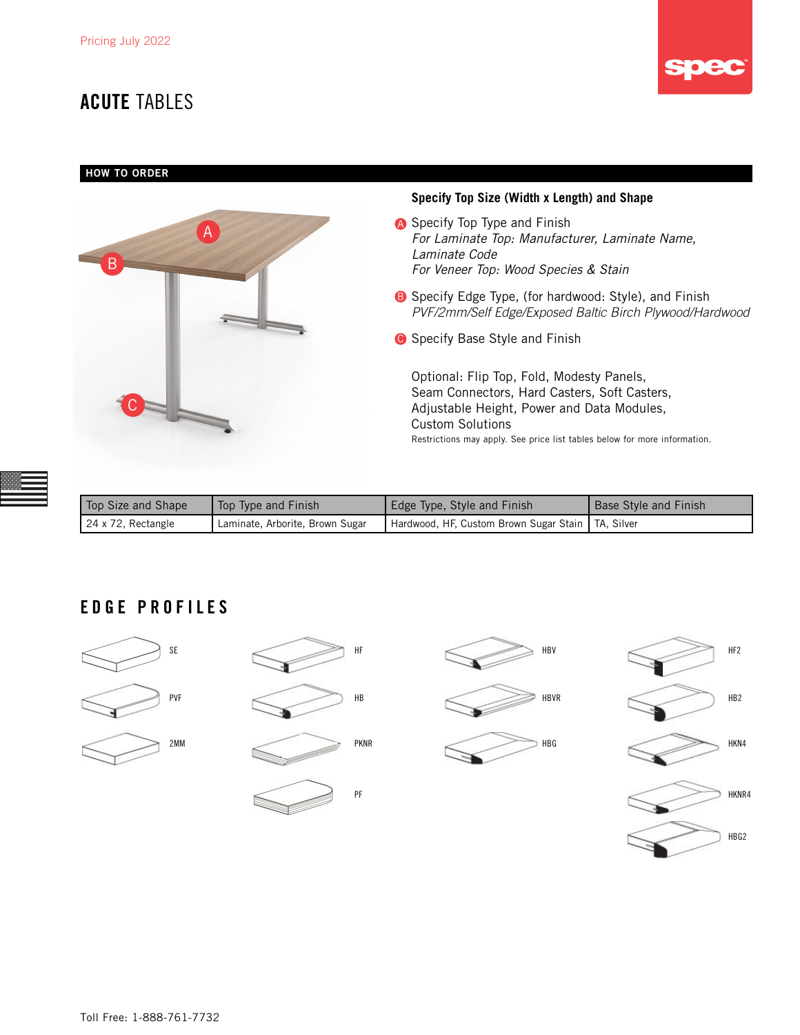## **ACUTE TABLES**



### HOW TO ORDER



| Top Size and Shape | Top Type and Finish             | Edge Type, Style and Finish                         | Base Style and Finish |
|--------------------|---------------------------------|-----------------------------------------------------|-----------------------|
| 24 x 72, Rectangle | Laminate, Arborite, Brown Sugar | Hardwood, HF, Custom Brown Sugar Stain   TA, Silver |                       |

### EDGE PROFILES







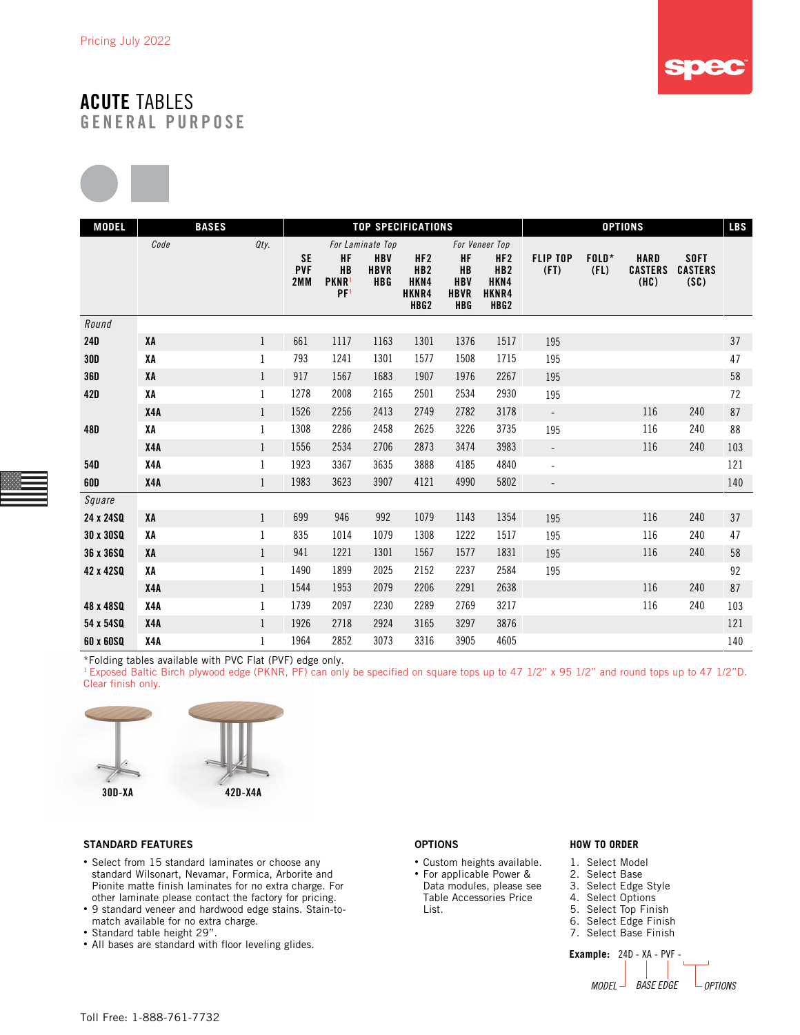



| <b>MODEL</b> | <b>BASES</b> |              |                                |                                                                |                                         | <b>TOP SPECIFICATIONS</b>                                               |                                                            |                                                             | <b>OPTIONS</b>           |                 |                                       |                                       | <b>LBS</b> |
|--------------|--------------|--------------|--------------------------------|----------------------------------------------------------------|-----------------------------------------|-------------------------------------------------------------------------|------------------------------------------------------------|-------------------------------------------------------------|--------------------------|-----------------|---------------------------------------|---------------------------------------|------------|
|              | Code         | Qty.         |                                |                                                                | For Laminate Top                        |                                                                         |                                                            | For Veneer Top                                              |                          |                 |                                       |                                       |            |
|              |              |              | <b>SE</b><br><b>PVF</b><br>2MM | <b>HF</b><br><b>HB</b><br>PKNR <sup>1</sup><br>PF <sup>1</sup> | <b>HBV</b><br><b>HBVR</b><br><b>HBG</b> | HF <sub>2</sub><br>HB <sub>2</sub><br>HKN4<br>HKNR4<br>HBG <sub>2</sub> | <b>HF</b><br><b>HB</b><br><b>HBV</b><br><b>HBVR</b><br>HBG | HF2<br>HB <sub>2</sub><br>HKN4<br>HKNR4<br>HBG <sub>2</sub> | <b>FLIP TOP</b><br>(FI)  | $FOLD*$<br>(FL) | <b>HARD</b><br><b>CASTERS</b><br>(HC) | <b>SOFT</b><br><b>CASTERS</b><br>(SC) |            |
| Round        |              |              |                                |                                                                |                                         |                                                                         |                                                            |                                                             |                          |                 |                                       |                                       |            |
| <b>24D</b>   | XA           | $\mathbf{1}$ | 661                            | 1117                                                           | 1163                                    | 1301                                                                    | 1376                                                       | 1517                                                        | 195                      |                 |                                       |                                       | 37         |
| <b>30D</b>   | XΑ           | $\mathbf{1}$ | 793                            | 1241                                                           | 1301                                    | 1577                                                                    | 1508                                                       | 1715                                                        | 195                      |                 |                                       |                                       | 47         |
| <b>36D</b>   | XA           | $\mathbf 1$  | 917                            | 1567                                                           | 1683                                    | 1907                                                                    | 1976                                                       | 2267                                                        | 195                      |                 |                                       |                                       | 58         |
| 42D          | XA           | $\mathbf{1}$ | 1278                           | 2008                                                           | 2165                                    | 2501                                                                    | 2534                                                       | 2930                                                        | 195                      |                 |                                       |                                       | 72         |
|              | X4A          | $1\,$        | 1526                           | 2256                                                           | 2413                                    | 2749                                                                    | 2782                                                       | 3178                                                        | $\overline{\phantom{a}}$ |                 | 116                                   | 240                                   | 87         |
| 48D          | XA           | $\mathbf{1}$ | 1308                           | 2286                                                           | 2458                                    | 2625                                                                    | 3226                                                       | 3735                                                        | 195                      |                 | 116                                   | 240                                   | 88         |
|              | X4A          | $\mathbf{1}$ | 1556                           | 2534                                                           | 2706                                    | 2873                                                                    | 3474                                                       | 3983                                                        | $\blacksquare$           |                 | 116                                   | 240                                   | 103        |
| 54D          | X4A          | $\mathbf{1}$ | 1923                           | 3367                                                           | 3635                                    | 3888                                                                    | 4185                                                       | 4840                                                        | $\overline{\phantom{a}}$ |                 |                                       |                                       | 121        |
| <b>60D</b>   | X4A          | $\mathbf{1}$ | 1983                           | 3623                                                           | 3907                                    | 4121                                                                    | 4990                                                       | 5802                                                        | $\overline{\phantom{a}}$ |                 |                                       |                                       | 140        |
| Square       |              |              |                                |                                                                |                                         |                                                                         |                                                            |                                                             |                          |                 |                                       |                                       |            |
| 24 x 24SQ    | XA           | $\mathbf{1}$ | 699                            | 946                                                            | 992                                     | 1079                                                                    | 1143                                                       | 1354                                                        | 195                      |                 | 116                                   | 240                                   | 37         |
| 30 x 30 SQ   | ΧA           | $\mathbf{1}$ | 835                            | 1014                                                           | 1079                                    | 1308                                                                    | 1222                                                       | 1517                                                        | 195                      |                 | 116                                   | 240                                   | 47         |
| 36 x 36SQ    | XA           | $\mathbf{1}$ | 941                            | 1221                                                           | 1301                                    | 1567                                                                    | 1577                                                       | 1831                                                        | 195                      |                 | 116                                   | 240                                   | 58         |
| 42 x 42SQ    | ΧA           | $\mathbf{1}$ | 1490                           | 1899                                                           | 2025                                    | 2152                                                                    | 2237                                                       | 2584                                                        | 195                      |                 |                                       |                                       | 92         |
|              | X4A          | $\mathbf{1}$ | 1544                           | 1953                                                           | 2079                                    | 2206                                                                    | 2291                                                       | 2638                                                        |                          |                 | 116                                   | 240                                   | 87         |
| 48 x 48SQ    | X4A          | $\mathbf{1}$ | 1739                           | 2097                                                           | 2230                                    | 2289                                                                    | 2769                                                       | 3217                                                        |                          |                 | 116                                   | 240                                   | 103        |
| 54 x 54SQ    | X4A          | $\mathbf{1}$ | 1926                           | 2718                                                           | 2924                                    | 3165                                                                    | 3297                                                       | 3876                                                        |                          |                 |                                       |                                       | 121        |
| 60 x 60SQ    | X4A          | $\mathbf{1}$ | 1964                           | 2852                                                           | 3073                                    | 3316                                                                    | 3905                                                       | 4605                                                        |                          |                 |                                       |                                       | 140        |

\*Folding tables available with PVC Flat (PVF) edge only.

<sup>1</sup> Exposed Baltic Birch plywood edge (PKNR, PF) can only be specified on square tops up to 47 1/2" x 95 1/2" and round tops up to 47 1/2"D. Clear finish only.



#### STANDARD FEATURES

- Select from 15 standard laminates or choose any standard Wilsonart, Nevamar, Formica, Arborite and Pionite matte finish laminates for no extra charge. For other laminate please contact the factory for pricing.
- 9 standard veneer and hardwood edge stains. Stain-tomatch available for no extra charge.
- Standard table height 29".
- All bases are standard with floor leveling glides.

#### OPTIONS

- Custom heights available. • For applicable Power &
- Data modules, please see Table Accessories Price List.

#### **HOW TO ORDER**

- 1. Select Model
- 2. Select Base
- 3. Select Edge Style
- 4. Select Options 5. Select Top Finish
- 6. Select Edge Finish
- 7. Select Base Finish

**Example:** 24D - XA - PVF - *MODEL BASE EDGE OPTIONS*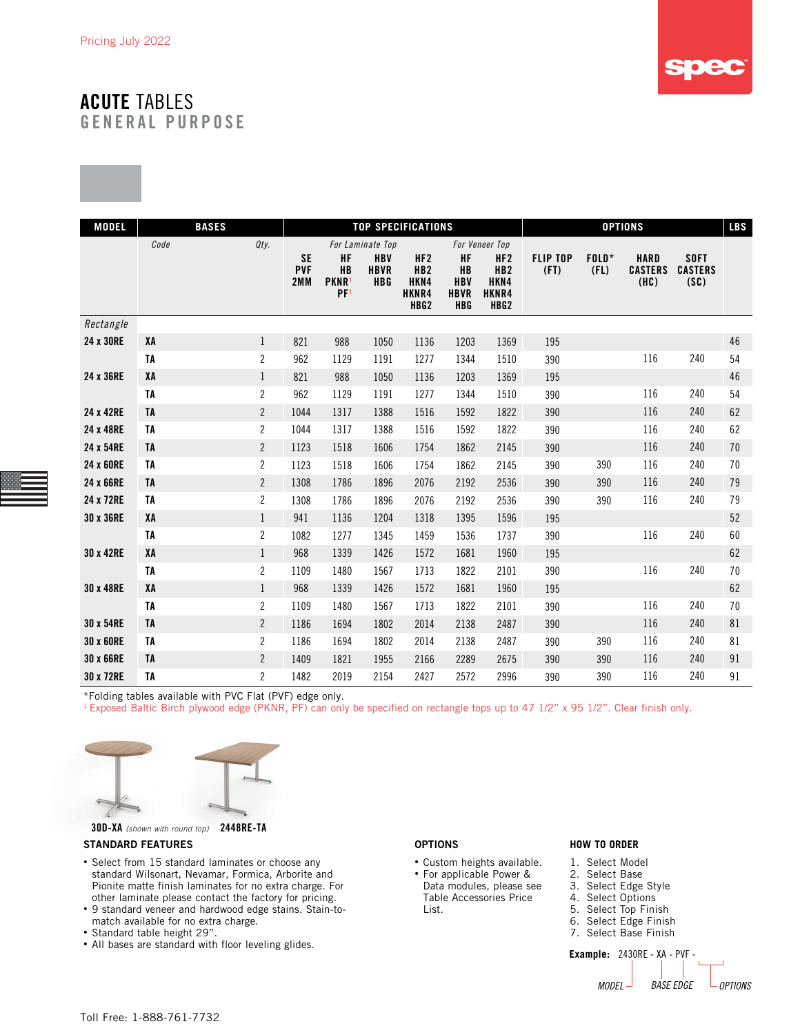

| <b>MODEL</b> | <b>BASES</b> |                |                                |                                                                |                                                             | <b>TOP SPECIFICATIONS</b>                                               |                                                                   |                                                                                           | <b>OPTIONS</b>          |                 |                                       |                                       |    |  |
|--------------|--------------|----------------|--------------------------------|----------------------------------------------------------------|-------------------------------------------------------------|-------------------------------------------------------------------------|-------------------------------------------------------------------|-------------------------------------------------------------------------------------------|-------------------------|-----------------|---------------------------------------|---------------------------------------|----|--|
|              | Code         | Qty.           | <b>SE</b><br><b>PVF</b><br>2MM | <b>HF</b><br><b>HB</b><br>PKNR <sup>1</sup><br>PF <sup>1</sup> | For Laminate Top<br><b>HBV</b><br><b>HBVR</b><br><b>HBG</b> | HF <sub>2</sub><br>HB <sub>2</sub><br>HKN4<br>HKNR4<br>HBG <sub>2</sub> | <b>HF</b><br><b>HB</b><br><b>HBV</b><br><b>HBVR</b><br><b>HBG</b> | For Veneer Top<br>HF <sub>2</sub><br>HB <sub>2</sub><br>HKN4<br>HKNR4<br>HBG <sub>2</sub> | <b>FLIP TOP</b><br>(FI) | $FOLD*$<br>(FL) | <b>HARD</b><br><b>CASTERS</b><br>(HC) | <b>SOFT</b><br><b>CASTERS</b><br>(SC) |    |  |
| Rectangle    |              |                |                                |                                                                |                                                             |                                                                         |                                                                   |                                                                                           |                         |                 |                                       |                                       |    |  |
| 24 x 30RE    | XA           | $\mathbf{1}$   | 821                            | 988                                                            | 1050                                                        | 1136                                                                    | 1203                                                              | 1369                                                                                      | 195                     |                 |                                       |                                       | 46 |  |
|              | TA           | $\sqrt{2}$     | 962                            | 1129                                                           | 1191                                                        | 1277                                                                    | 1344                                                              | 1510                                                                                      | 390                     |                 | 116                                   | 240                                   | 54 |  |
| 24 x 36RE    | XA           | $\mathbf{1}$   | 821                            | 988                                                            | 1050                                                        | 1136                                                                    | 1203                                                              | 1369                                                                                      | 195                     |                 |                                       |                                       | 46 |  |
|              | TA           | $\overline{2}$ | 962                            | 1129                                                           | 1191                                                        | 1277                                                                    | 1344                                                              | 1510                                                                                      | 390                     |                 | 116                                   | 240                                   | 54 |  |
| 24 x 42RE    | TA           | $\mathbf{2}$   | 1044                           | 1317                                                           | 1388                                                        | 1516                                                                    | 1592                                                              | 1822                                                                                      | 390                     |                 | 116                                   | 240                                   | 62 |  |
| 24 x 48RE    | TA           | $\overline{c}$ | 1044                           | 1317                                                           | 1388                                                        | 1516                                                                    | 1592                                                              | 1822                                                                                      | 390                     |                 | 116                                   | 240                                   | 62 |  |
| 24 x 54RE    | <b>TA</b>    | $\mathbf{2}$   | 1123                           | 1518                                                           | 1606                                                        | 1754                                                                    | 1862                                                              | 2145                                                                                      | 390                     |                 | 116                                   | 240                                   | 70 |  |
| 24 x 60RE    | TA           | $\mathbf{2}$   | 1123                           | 1518                                                           | 1606                                                        | 1754                                                                    | 1862                                                              | 2145                                                                                      | 390                     | 390             | 116                                   | 240                                   | 70 |  |
| 24 x 66RE    | TA           | $\overline{2}$ | 1308                           | 1786                                                           | 1896                                                        | 2076                                                                    | 2192                                                              | 2536                                                                                      | 390                     | 390             | 116                                   | 240                                   | 79 |  |
| 24 x 72RE    | TA           | $\mathbf{2}$   | 1308                           | 1786                                                           | 1896                                                        | 2076                                                                    | 2192                                                              | 2536                                                                                      | 390                     | 390             | 116                                   | 240                                   | 79 |  |
| 30 x 36RE    | XA           | $\mathbf{1}$   | 941                            | 1136                                                           | 1204                                                        | 1318                                                                    | 1395                                                              | 1596                                                                                      | 195                     |                 |                                       |                                       | 52 |  |
|              | TA           | $\mathbf{2}$   | 1082                           | 1277                                                           | 1345                                                        | 1459                                                                    | 1536                                                              | 1737                                                                                      | 390                     |                 | 116                                   | 240                                   | 60 |  |
| 30 x 42RE    | XA           | $\mathbf{1}$   | 968                            | 1339                                                           | 1426                                                        | 1572                                                                    | 1681                                                              | 1960                                                                                      | 195                     |                 |                                       |                                       | 62 |  |
|              | TA           | $\overline{2}$ | 1109                           | 1480                                                           | 1567                                                        | 1713                                                                    | 1822                                                              | 2101                                                                                      | 390                     |                 | 116                                   | 240                                   | 70 |  |
| 30 x 48RE    | XA           | $\mathbf{1}$   | 968                            | 1339                                                           | 1426                                                        | 1572                                                                    | 1681                                                              | 1960                                                                                      | 195                     |                 |                                       |                                       | 62 |  |
|              | TA           | $\overline{c}$ | 1109                           | 1480                                                           | 1567                                                        | 1713                                                                    | 1822                                                              | 2101                                                                                      | 390                     |                 | 116                                   | 240                                   | 70 |  |
| 30 x 54RE    | TA           | $\overline{2}$ | 1186                           | 1694                                                           | 1802                                                        | 2014                                                                    | 2138                                                              | 2487                                                                                      | 390                     |                 | 116                                   | 240                                   | 81 |  |
| 30 x 60RE    | TA           | $\overline{2}$ | 1186                           | 1694                                                           | 1802                                                        | 2014                                                                    | 2138                                                              | 2487                                                                                      | 390                     | 390             | 116                                   | 240                                   | 81 |  |
| 30 x 66RE    | TA           | $\overline{2}$ | 1409                           | 1821                                                           | 1955                                                        | 2166                                                                    | 2289                                                              | 2675                                                                                      | 390                     | 390             | 116                                   | 240                                   | 91 |  |
| 30 x 72RE    | <b>TA</b>    | $\overline{c}$ | 1482                           | 2019                                                           | 2154                                                        | 2427                                                                    | 2572                                                              | 2996                                                                                      | 390                     | 390             | 116                                   | 240                                   | 91 |  |

\*Folding tables available with PVC Flat (PVF) edge only.

<sup>1</sup> Exposed Baltic Birch plywood edge (PKNR, PF) can only be specified on rectangle tops up to 47 1/2" x 95 1/2". Clear finish only.



30D-XA *(shown with round top)* 2448RE-TA

#### STANDARD FEATURES

- Select from 15 standard laminates or choose any standard Wilsonart, Nevamar, Formica, Arborite and Pionite matte finish laminates for no extra charge. For other laminate please contact the factory for pricing.
- 9 standard veneer and hardwood edge stains. Stain-tomatch available for no extra charge.
- Standard table height 29".
- All bases are standard with floor leveling glides.

#### OPTIONS

- Custom heights available.
- For applicable Power & Data modules, please see Table Accessories Price List.

#### **HOW TO ORDER**

- 1. Select Model
- 2. Select Base
- 3. Select Edge Style
- 4. Select Options
- 5. Select Top Finish
- 6. Select Edge Finish 7. Select Base Finish

**Example:** 2430RE - XA - PVF - *MODEL BASE EDGE OPTIONS*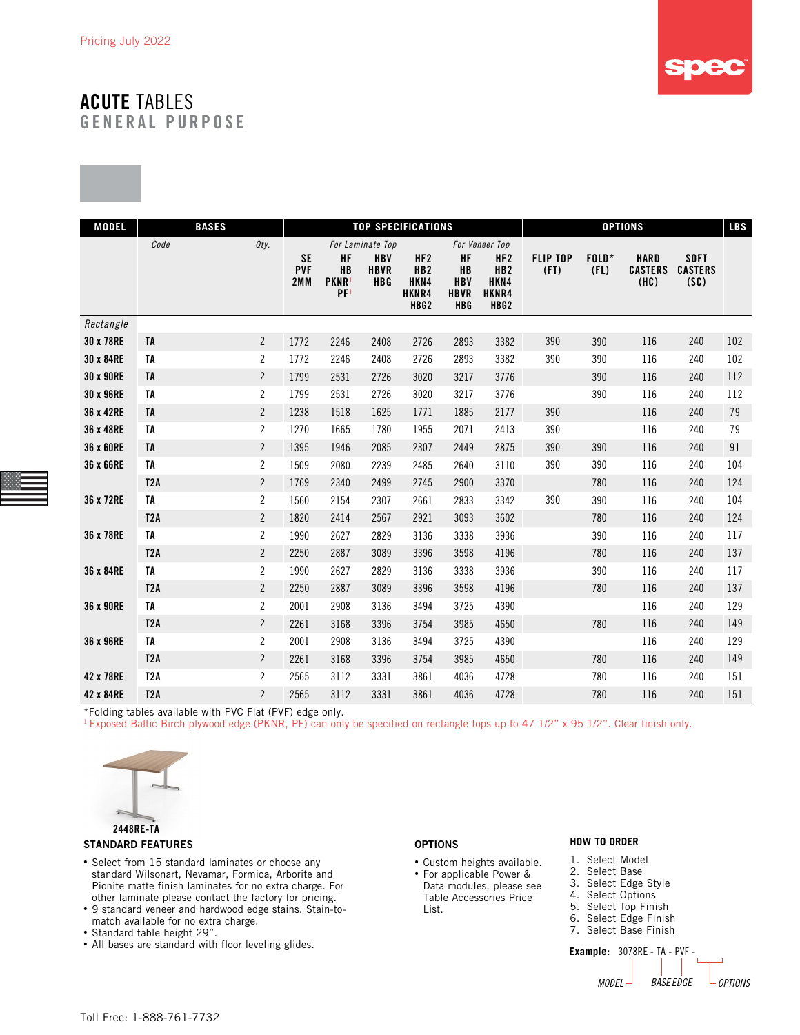

| <b>MODEL</b> | <b>BASES</b>     |                |                                |                                                  |                                                             | <b>TOP SPECIFICATIONS</b>                                   |                                                            | <b>OPTIONS</b>                                                                            |                         |               |                                       |                                       |        |
|--------------|------------------|----------------|--------------------------------|--------------------------------------------------|-------------------------------------------------------------|-------------------------------------------------------------|------------------------------------------------------------|-------------------------------------------------------------------------------------------|-------------------------|---------------|---------------------------------------|---------------------------------------|--------|
|              | Code             | Qty.           | <b>SE</b><br><b>PVF</b><br>2MM | HF<br>HB<br>PKNR <sup>1</sup><br>PF <sup>1</sup> | For Laminate Top<br><b>HBV</b><br><b>HBVR</b><br><b>HBG</b> | HF2<br>HB <sub>2</sub><br>HKN4<br>HKNR4<br>HBG <sub>2</sub> | HF<br><b>HB</b><br><b>HBV</b><br><b>HBVR</b><br><b>HBG</b> | For Veneer Top<br>HF <sub>2</sub><br>HB <sub>2</sub><br>HKN4<br>HKNR4<br>HBG <sub>2</sub> | <b>FLIP TOP</b><br>(FI) | FOLD*<br>(FL) | <b>HARD</b><br><b>CASTERS</b><br>(HC) | <b>SOFT</b><br><b>CASTERS</b><br>(SC) |        |
| Rectangle    |                  |                |                                |                                                  |                                                             |                                                             |                                                            |                                                                                           |                         |               |                                       |                                       |        |
| 30 x 78RE    | TA               | $\mathbf{2}$   | 1772                           | 2246                                             | 2408                                                        | 2726                                                        | 2893                                                       | 3382                                                                                      | 390                     | 390           | 116                                   | 240                                   | 102    |
| 30 x 84RE    | TA               | $\overline{c}$ | 1772                           | 2246                                             | 2408                                                        | 2726                                                        | 2893                                                       | 3382                                                                                      | 390                     | 390           | 116                                   | 240                                   | 102    |
| 30 x 90RE    | <b>TA</b>        | $\overline{2}$ | 1799                           | 2531                                             | 2726                                                        | 3020                                                        | 3217                                                       | 3776                                                                                      |                         | 390           | 116                                   | 240                                   | 112    |
| 30 x 96RE    | TA               | $\overline{c}$ | 1799                           | 2531                                             | 2726                                                        | 3020                                                        | 3217                                                       | 3776                                                                                      |                         | 390           | 116                                   | 240                                   | 112    |
| 36 x 42RE    | TA               | $\overline{c}$ | 1238                           | 1518                                             | 1625                                                        | 1771                                                        | 1885                                                       | 2177                                                                                      | 390                     |               | 116                                   | 240                                   | 79     |
| 36 x 48RE    | TA               | $\mathbf{2}$   | 1270                           | 1665                                             | 1780                                                        | 1955                                                        | 2071                                                       | 2413                                                                                      | 390                     |               | 116                                   | 240                                   | 79     |
| 36 x 60RE    | TA               | $\overline{2}$ | 1395                           | 1946                                             | 2085                                                        | 2307                                                        | 2449                                                       | 2875                                                                                      | 390                     | 390           | 116                                   | 240                                   | $91\,$ |
| 36 x 66RE    | TA               | $\overline{c}$ | 1509                           | 2080                                             | 2239                                                        | 2485                                                        | 2640                                                       | 3110                                                                                      | 390                     | 390           | 116                                   | 240                                   | 104    |
|              | <b>T2A</b>       | $\overline{2}$ | 1769                           | 2340                                             | 2499                                                        | 2745                                                        | 2900                                                       | 3370                                                                                      |                         | 780           | 116                                   | 240                                   | 124    |
| 36 x 72RE    | TA               | $\overline{c}$ | 1560                           | 2154                                             | 2307                                                        | 2661                                                        | 2833                                                       | 3342                                                                                      | 390                     | 390           | 116                                   | 240                                   | 104    |
|              | T <sub>2</sub> A | $\mathbf{2}$   | 1820                           | 2414                                             | 2567                                                        | 2921                                                        | 3093                                                       | 3602                                                                                      |                         | 780           | 116                                   | 240                                   | 124    |
| 36 x 78RE    | TA               | $\overline{c}$ | 1990                           | 2627                                             | 2829                                                        | 3136                                                        | 3338                                                       | 3936                                                                                      |                         | 390           | 116                                   | 240                                   | 117    |
|              | <b>T2A</b>       | $\overline{2}$ | 2250                           | 2887                                             | 3089                                                        | 3396                                                        | 3598                                                       | 4196                                                                                      |                         | 780           | 116                                   | 240                                   | 137    |
| 36 x 84RE    | <b>TA</b>        | $\overline{2}$ | 1990                           | 2627                                             | 2829                                                        | 3136                                                        | 3338                                                       | 3936                                                                                      |                         | 390           | 116                                   | 240                                   | 117    |
|              | T <sub>2</sub> A | $\overline{2}$ | 2250                           | 2887                                             | 3089                                                        | 3396                                                        | 3598                                                       | 4196                                                                                      |                         | 780           | 116                                   | 240                                   | 137    |
| 36 x 90RE    | TA               | $\overline{2}$ | 2001                           | 2908                                             | 3136                                                        | 3494                                                        | 3725                                                       | 4390                                                                                      |                         |               | 116                                   | 240                                   | 129    |
|              | T <sub>2</sub> A | $\overline{2}$ | 2261                           | 3168                                             | 3396                                                        | 3754                                                        | 3985                                                       | 4650                                                                                      |                         | 780           | 116                                   | 240                                   | 149    |
| 36 x 96RE    | TA               | $\overline{c}$ | 2001                           | 2908                                             | 3136                                                        | 3494                                                        | 3725                                                       | 4390                                                                                      |                         |               | 116                                   | 240                                   | 129    |
|              | T <sub>2</sub> A | $\overline{2}$ | 2261                           | 3168                                             | 3396                                                        | 3754                                                        | 3985                                                       | 4650                                                                                      |                         | 780           | 116                                   | 240                                   | 149    |
| 42 x 78RE    | T <sub>2</sub> A | $\overline{c}$ | 2565                           | 3112                                             | 3331                                                        | 3861                                                        | 4036                                                       | 4728                                                                                      |                         | 780           | 116                                   | 240                                   | 151    |
| 42 x 84RE    | T2A              | $\overline{2}$ | 2565                           | 3112                                             | 3331                                                        | 3861                                                        | 4036                                                       | 4728                                                                                      |                         | 780           | 116                                   | 240                                   | 151    |

\*Folding tables available with PVC Flat (PVF) edge only.

<sup>1</sup> Exposed Baltic Birch plywood edge (PKNR, PF) can only be specified on rectangle tops up to 47 1/2" x 95 1/2". Clear finish only.



#### STANDARD FEATURES

- Select from 15 standard laminates or choose any standard Wilsonart, Nevamar, Formica, Arborite and Pionite matte finish laminates for no extra charge. For other laminate please contact the factory for pricing.
- 9 standard veneer and hardwood edge stains. Stain-tomatch available for no extra charge.
- Standard table height 29".
- All bases are standard with floor leveling glides.

#### OPTIONS

- Custom heights available.
- For applicable Power & Data modules, please see Table Accessories Price List.

#### **HOW TO ORDER**

- 1. Select Model
- 2. Select Base<br>3. Select Edge Select Edge Style
- 4. Select Options
- 5. Select Top Finish
- 6. Select Edge Finish
- 7. Select Base Finish

**Example:** 3078RE - TA - PVF - *MODEL BASE EDGE OPTIONS*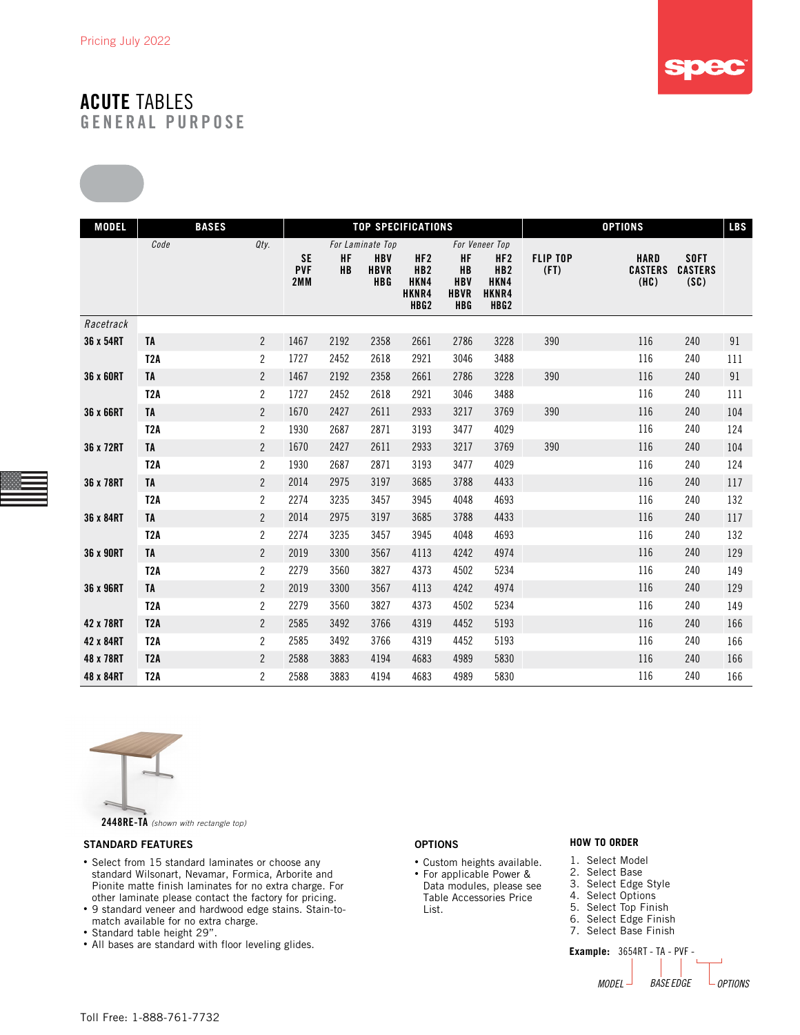

| <b>MODEL</b> | <b>BASES</b>     |                |                                |                        |                                         | <b>TOP SPECIFICATIONS</b>                                   |                                              |                                                                         |                         | <b>OPTIONS</b>                        |                                       | <b>LBS</b> |
|--------------|------------------|----------------|--------------------------------|------------------------|-----------------------------------------|-------------------------------------------------------------|----------------------------------------------|-------------------------------------------------------------------------|-------------------------|---------------------------------------|---------------------------------------|------------|
|              | Code             | Qty.           |                                |                        | For Laminate Top                        |                                                             |                                              | For Veneer Top                                                          |                         |                                       |                                       |            |
|              |                  |                | <b>SE</b><br><b>PVF</b><br>2MM | <b>HF</b><br><b>HB</b> | <b>HBV</b><br><b>HBVR</b><br><b>HBG</b> | HF2<br>HB <sub>2</sub><br>HKN4<br>HKNR4<br>HBG <sub>2</sub> | HF<br>HB<br><b>HBV</b><br><b>HBVR</b><br>HBG | HF <sub>2</sub><br>HB <sub>2</sub><br>HKN4<br>HKNR4<br>HBG <sub>2</sub> | <b>FLIP TOP</b><br>(FT) | <b>HARD</b><br><b>CASTERS</b><br>(HC) | <b>SOFT</b><br><b>CASTERS</b><br>(SC) |            |
| Racetrack    |                  |                |                                |                        |                                         |                                                             |                                              |                                                                         |                         |                                       |                                       |            |
| 36 x 54RT    | TA               | $\overline{2}$ | 1467                           | 2192                   | 2358                                    | 2661                                                        | 2786                                         | 3228                                                                    | 390                     | 116                                   | 240                                   | 91         |
|              | T <sub>2</sub> A | $\overline{c}$ | 1727                           | 2452                   | 2618                                    | 2921                                                        | 3046                                         | 3488                                                                    |                         | 116                                   | 240                                   | 111        |
| 36 x 60RT    | <b>TA</b>        | $\mathbf{2}$   | 1467                           | 2192                   | 2358                                    | 2661                                                        | 2786                                         | 3228                                                                    | 390                     | 116                                   | 240                                   | 91         |
|              | T <sub>2</sub> A | $\mathbf{2}$   | 1727                           | 2452                   | 2618                                    | 2921                                                        | 3046                                         | 3488                                                                    |                         | 116                                   | 240                                   | 111        |
| 36 x 66RT    | <b>TA</b>        | $\mathbf{2}$   | 1670                           | 2427                   | 2611                                    | 2933                                                        | 3217                                         | 3769                                                                    | 390                     | 116                                   | 240                                   | 104        |
|              | T <sub>2</sub> A | $\overline{c}$ | 1930                           | 2687                   | 2871                                    | 3193                                                        | 3477                                         | 4029                                                                    |                         | 116                                   | 240                                   | 124        |
| 36 x 72RT    | <b>TA</b>        | $\mathbf{2}$   | 1670                           | 2427                   | 2611                                    | 2933                                                        | 3217                                         | 3769                                                                    | 390                     | 116                                   | 240                                   | 104        |
|              | T <sub>2</sub> A | $\overline{c}$ | 1930                           | 2687                   | 2871                                    | 3193                                                        | 3477                                         | 4029                                                                    |                         | 116                                   | 240                                   | 124        |
| 36 x 78RT    | <b>TA</b>        | $\overline{2}$ | 2014                           | 2975                   | 3197                                    | 3685                                                        | 3788                                         | 4433                                                                    |                         | 116                                   | 240                                   | 117        |
|              | T <sub>2</sub> A | $\overline{c}$ | 2274                           | 3235                   | 3457                                    | 3945                                                        | 4048                                         | 4693                                                                    |                         | 116                                   | 240                                   | 132        |
| 36 x 84RT    | <b>TA</b>        | $\overline{c}$ | 2014                           | 2975                   | 3197                                    | 3685                                                        | 3788                                         | 4433                                                                    |                         | 116                                   | 240                                   | 117        |
|              | T <sub>2</sub> A | $\overline{2}$ | 2274                           | 3235                   | 3457                                    | 3945                                                        | 4048                                         | 4693                                                                    |                         | 116                                   | 240                                   | 132        |
| 36 x 90RT    | <b>TA</b>        | $\overline{2}$ | 2019                           | 3300                   | 3567                                    | 4113                                                        | 4242                                         | 4974                                                                    |                         | 116                                   | 240                                   | 129        |
|              | T <sub>2</sub> A | $\mathbf{2}$   | 2279                           | 3560                   | 3827                                    | 4373                                                        | 4502                                         | 5234                                                                    |                         | 116                                   | 240                                   | 149        |
| 36 x 96RT    | TA               | $\overline{2}$ | 2019                           | 3300                   | 3567                                    | 4113                                                        | 4242                                         | 4974                                                                    |                         | 116                                   | 240                                   | 129        |
|              | T <sub>2</sub> A | $\overline{c}$ | 2279                           | 3560                   | 3827                                    | 4373                                                        | 4502                                         | 5234                                                                    |                         | 116                                   | 240                                   | 149        |
| 42 x 78RT    | <b>T2A</b>       | $\overline{2}$ | 2585                           | 3492                   | 3766                                    | 4319                                                        | 4452                                         | 5193                                                                    |                         | 116                                   | 240                                   | 166        |
| 42 x 84RT    | T <sub>2</sub> A | $\mathbf{2}$   | 2585                           | 3492                   | 3766                                    | 4319                                                        | 4452                                         | 5193                                                                    |                         | 116                                   | 240                                   | 166        |
| 48 x 78RT    | T <sub>2</sub> A | $\mathbf{2}$   | 2588                           | 3883                   | 4194                                    | 4683                                                        | 4989                                         | 5830                                                                    |                         | 116                                   | 240                                   | 166        |
| 48 x 84RT    | T <sub>2</sub> A | $\overline{2}$ | 2588                           | 3883                   | 4194                                    | 4683                                                        | 4989                                         | 5830                                                                    |                         | 116                                   | 240                                   | 166        |



#### STANDARD FEATURES

- Select from 15 standard laminates or choose any standard Wilsonart, Nevamar, Formica, Arborite and Pionite matte finish laminates for no extra charge. For other laminate please contact the factory for pricing.
- 9 standard veneer and hardwood edge stains. Stain-tomatch available for no extra charge.
- Standard table height 29".
- All bases are standard with floor leveling glides.

#### OPTIONS

- Custom heights available. • For applicable Power &
- Data modules, please see Table Accessories Price List.

#### **HOW TO ORDER**

- 1. Select Model
- 2. Select Base
- 3. Select Edge Style
- 4. Select Options 5. Select Top Finish
- 
- 6. Select Edge Finish 7. Select Base Finish

**Example:** 3654RT - TA - PVF - *MODEL BASE EDGE OPTIONS*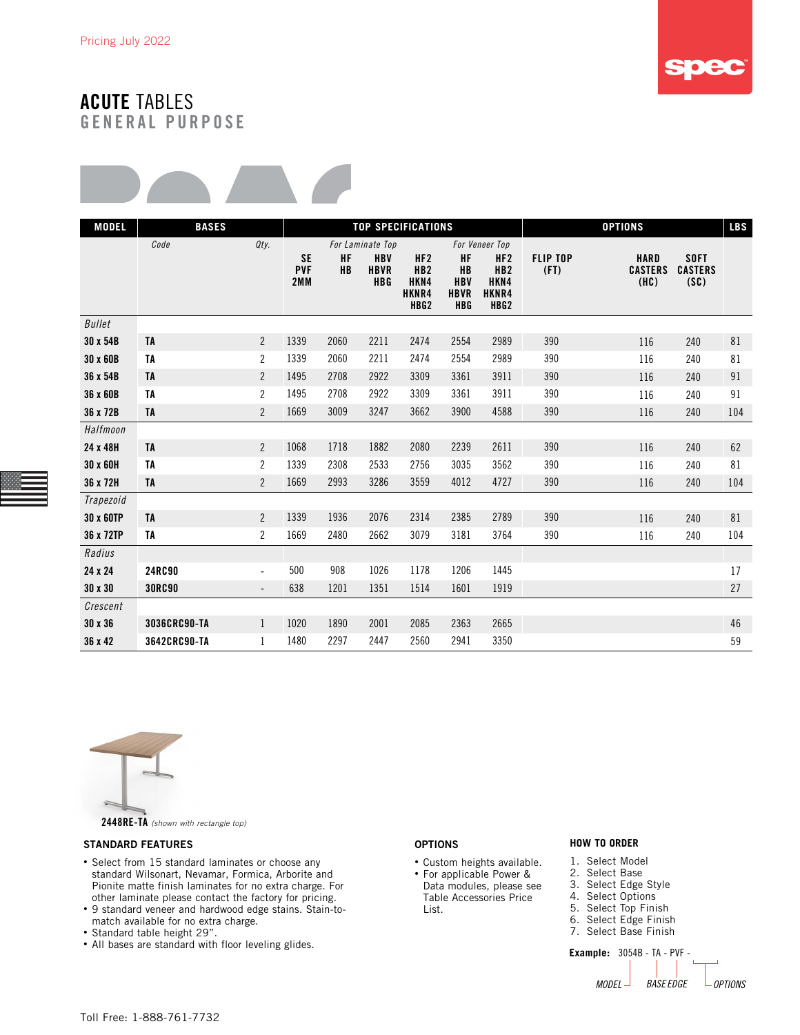



| <b>MODEL</b>  | <b>BASES</b>  |                          |                                |                        |                                         | <b>TOP SPECIFICATIONS</b>                                               |                                                                   | <b>LBS</b><br><b>OPTIONS</b>                                            |                         |                                       |                                       |     |
|---------------|---------------|--------------------------|--------------------------------|------------------------|-----------------------------------------|-------------------------------------------------------------------------|-------------------------------------------------------------------|-------------------------------------------------------------------------|-------------------------|---------------------------------------|---------------------------------------|-----|
|               | Code          | Qty.                     |                                |                        | For Laminate Top                        |                                                                         |                                                                   | For Veneer Top                                                          |                         |                                       |                                       |     |
|               |               |                          | <b>SE</b><br><b>PVF</b><br>2MM | <b>HF</b><br><b>HB</b> | <b>HBV</b><br><b>HBVR</b><br><b>HBG</b> | HF <sub>2</sub><br>HB <sub>2</sub><br>HKN4<br>HKNR4<br>HBG <sub>2</sub> | <b>HF</b><br><b>HB</b><br><b>HBV</b><br><b>HBVR</b><br><b>HBG</b> | HF <sub>2</sub><br>HB <sub>2</sub><br>HKN4<br>HKNR4<br>HBG <sub>2</sub> | <b>FLIP TOP</b><br>(FI) | <b>HARD</b><br><b>CASTERS</b><br>(HC) | <b>SOFT</b><br><b>CASTERS</b><br>(SC) |     |
| <b>Bullet</b> |               |                          |                                |                        |                                         |                                                                         |                                                                   |                                                                         |                         |                                       |                                       |     |
| 30 x 54B      | <b>TA</b>     | $\overline{2}$           | 1339                           | 2060                   | 2211                                    | 2474                                                                    | 2554                                                              | 2989                                                                    | 390                     | 116                                   | 240                                   | 81  |
| 30 x 60B      | TA            | $\overline{2}$           | 1339                           | 2060                   | 2211                                    | 2474                                                                    | 2554                                                              | 2989                                                                    | 390                     | 116                                   | 240                                   | 81  |
| 36 x 54B      | <b>TA</b>     | $\overline{2}$           | 1495                           | 2708                   | 2922                                    | 3309                                                                    | 3361                                                              | 3911                                                                    | 390                     | 116                                   | 240                                   | 91  |
| 36 x 60B      | <b>TA</b>     | $\overline{2}$           | 1495                           | 2708                   | 2922                                    | 3309                                                                    | 3361                                                              | 3911                                                                    | 390                     | 116                                   | 240                                   | 91  |
| 36 x 72B      | <b>TA</b>     | $\overline{2}$           | 1669                           | 3009                   | 3247                                    | 3662                                                                    | 3900                                                              | 4588                                                                    | 390                     | 116                                   | 240                                   | 104 |
| Halfmoon      |               |                          |                                |                        |                                         |                                                                         |                                                                   |                                                                         |                         |                                       |                                       |     |
| 24 x 48H      | <b>TA</b>     | $\overline{2}$           | 1068                           | 1718                   | 1882                                    | 2080                                                                    | 2239                                                              | 2611                                                                    | 390                     | 116                                   | 240                                   | 62  |
| 30 x 60H      | <b>TA</b>     | $\overline{2}$           | 1339                           | 2308                   | 2533                                    | 2756                                                                    | 3035                                                              | 3562                                                                    | 390                     | 116                                   | 240                                   | 81  |
| 36 x 72H      | TA            | $\overline{2}$           | 1669                           | 2993                   | 3286                                    | 3559                                                                    | 4012                                                              | 4727                                                                    | 390                     | 116                                   | 240                                   | 104 |
| Trapezoid     |               |                          |                                |                        |                                         |                                                                         |                                                                   |                                                                         |                         |                                       |                                       |     |
| 30 x 60TP     | <b>TA</b>     | $\overline{2}$           | 1339                           | 1936                   | 2076                                    | 2314                                                                    | 2385                                                              | 2789                                                                    | 390                     | 116                                   | 240                                   | 81  |
| 36 x 72TP     | TA            | $\overline{2}$           | 1669                           | 2480                   | 2662                                    | 3079                                                                    | 3181                                                              | 3764                                                                    | 390                     | 116                                   | 240                                   | 104 |
| Radius        |               |                          |                                |                        |                                         |                                                                         |                                                                   |                                                                         |                         |                                       |                                       |     |
| 24 x 24       | 24RC90        | $\overline{\phantom{a}}$ | 500                            | 908                    | 1026                                    | 1178                                                                    | 1206                                                              | 1445                                                                    |                         |                                       |                                       | 17  |
| 30 x 30       | <b>30RC90</b> | $\overline{a}$           | 638                            | 1201                   | 1351                                    | 1514                                                                    | 1601                                                              | 1919                                                                    |                         |                                       |                                       | 27  |
| Crescent      |               |                          |                                |                        |                                         |                                                                         |                                                                   |                                                                         |                         |                                       |                                       |     |
| 30 x 36       | 3036CRC90-TA  | $\mathbf{1}$             | 1020                           | 1890                   | 2001                                    | 2085                                                                    | 2363                                                              | 2665                                                                    |                         |                                       |                                       | 46  |
| 36 x 42       | 3642CRC90-TA  | $\mathbf{1}$             | 1480                           | 2297                   | 2447                                    | 2560                                                                    | 2941                                                              | 3350                                                                    |                         |                                       |                                       | 59  |



#### STANDARD FEATURES

- Select from 15 standard laminates or choose any standard Wilsonart, Nevamar, Formica, Arborite and Pionite matte finish laminates for no extra charge. For other laminate please contact the factory for pricing.
- 9 standard veneer and hardwood edge stains. Stain-tomatch available for no extra charge.
- Standard table height 29".
- All bases are standard with floor leveling glides.

#### OPTIONS

- Custom heights available.
- For applicable Power & Data modules, please see Table Accessories Price List.

#### **HOW TO ORDER**

- 1. Select Model
- 2. Select Base
- 3. Select Edge Style 4. Select Options
- 5. Select Top Finish
- 6. Select Edge Finish
- 7. Select Base Finish
- **Example:** 3054B TA PVF *MODEL BASE EDGE OPTIONS*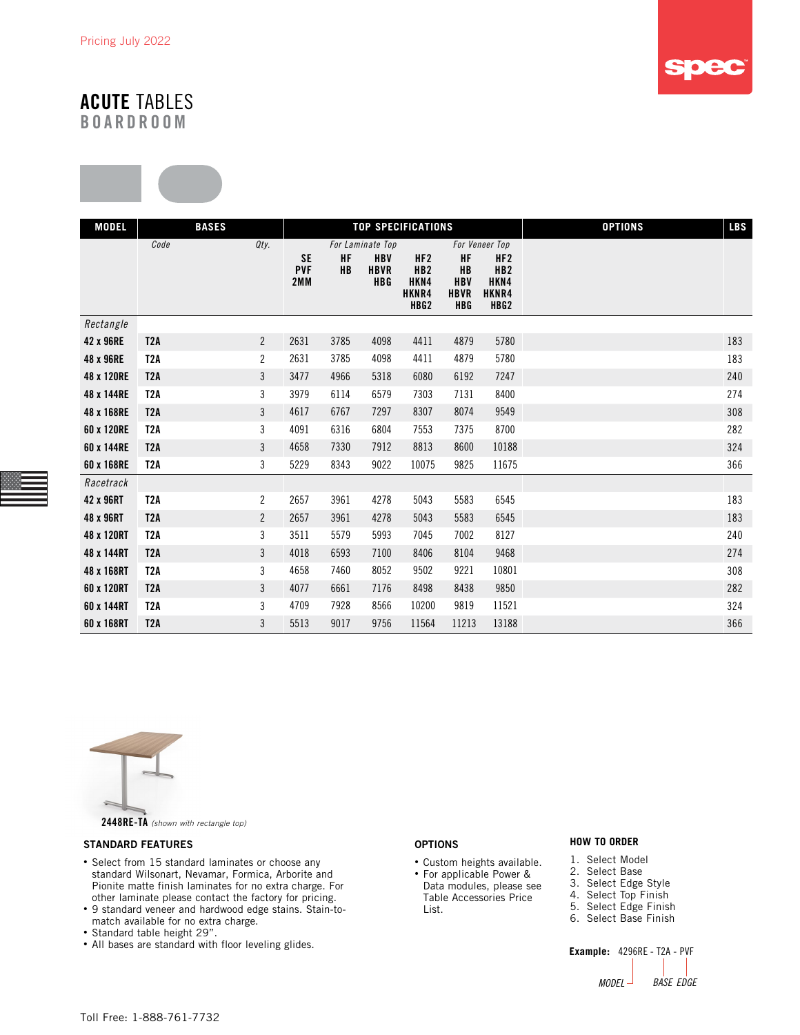

# ACUTE TABLES

BOARDROOM



| <b>MODEL</b> |                  | <b>BASES</b><br><b>TOP SPECIFICATIONS</b> |                                |                        |                                         |                                                 |                                                                   |                                                                         | <b>OPTIONS</b> | <b>LBS</b> |
|--------------|------------------|-------------------------------------------|--------------------------------|------------------------|-----------------------------------------|-------------------------------------------------|-------------------------------------------------------------------|-------------------------------------------------------------------------|----------------|------------|
|              | Code             | Qty.                                      |                                |                        | For Laminate Top                        |                                                 |                                                                   | For Veneer Top                                                          |                |            |
|              |                  |                                           | <b>SE</b><br><b>PVF</b><br>2MM | <b>HF</b><br><b>HB</b> | <b>HBV</b><br><b>HBVR</b><br><b>HBG</b> | HF2<br>HB2<br>HKN4<br>HKNR4<br>HBG <sub>2</sub> | <b>HF</b><br><b>HB</b><br><b>HBV</b><br><b>HBVR</b><br><b>HBG</b> | HF <sub>2</sub><br>HB <sub>2</sub><br>HKN4<br>HKNR4<br>HBG <sub>2</sub> |                |            |
| Rectangle    |                  |                                           |                                |                        |                                         |                                                 |                                                                   |                                                                         |                |            |
| 42 x 96RE    | T2A              | $\overline{2}$                            | 2631                           | 3785                   | 4098                                    | 4411                                            | 4879                                                              | 5780                                                                    |                | 183        |
| 48 x 96RE    | T <sub>2</sub> A | $\sqrt{2}$                                | 2631                           | 3785                   | 4098                                    | 4411                                            | 4879                                                              | 5780                                                                    |                | 183        |
| 48 x 120RE   | T <sub>2</sub> A | $\mathfrak{Z}$                            | 3477                           | 4966                   | 5318                                    | 6080                                            | 6192                                                              | 7247                                                                    |                | 240        |
| 48 x 144RE   | T <sub>2</sub> A | $\sqrt{3}$                                | 3979                           | 6114                   | 6579                                    | 7303                                            | 7131                                                              | 8400                                                                    |                | 274        |
| 48 x 168RE   | T2A              | 3                                         | 4617                           | 6767                   | 7297                                    | 8307                                            | 8074                                                              | 9549                                                                    |                | 308        |
| 60 x 120RE   | T <sub>2</sub> A | $\sqrt{3}$                                | 4091                           | 6316                   | 6804                                    | 7553                                            | 7375                                                              | 8700                                                                    |                | 282        |
| 60 x 144RE   | T <sub>2</sub> A | 3                                         | 4658                           | 7330                   | 7912                                    | 8813                                            | 8600                                                              | 10188                                                                   |                | 324        |
| 60 x 168RE   | T <sub>2</sub> A | 3                                         | 5229                           | 8343                   | 9022                                    | 10075                                           | 9825                                                              | 11675                                                                   |                | 366        |
| Racetrack    |                  |                                           |                                |                        |                                         |                                                 |                                                                   |                                                                         |                |            |
| 42 x 96RT    | T <sub>2</sub> A | $\overline{c}$                            | 2657                           | 3961                   | 4278                                    | 5043                                            | 5583                                                              | 6545                                                                    |                | 183        |
| 48 x 96RT    | T <sub>2</sub> A | $\sqrt{2}$                                | 2657                           | 3961                   | 4278                                    | 5043                                            | 5583                                                              | 6545                                                                    |                | 183        |
| 48 x 120RT   | T <sub>2</sub> A | $\sqrt{3}$                                | 3511                           | 5579                   | 5993                                    | 7045                                            | 7002                                                              | 8127                                                                    |                | 240        |
| 48 x 144RT   | T <sub>2</sub> A | $\mathfrak{Z}$                            | 4018                           | 6593                   | 7100                                    | 8406                                            | 8104                                                              | 9468                                                                    |                | 274        |
| 48 x 168RT   | T2A              | 3                                         | 4658                           | 7460                   | 8052                                    | 9502                                            | 9221                                                              | 10801                                                                   |                | 308        |
| 60 x 120RT   | T <sub>2</sub> A | 3                                         | 4077                           | 6661                   | 7176                                    | 8498                                            | 8438                                                              | 9850                                                                    |                | 282        |
| 60 x 144RT   | T <sub>2</sub> A | $\sqrt{3}$                                | 4709                           | 7928                   | 8566                                    | 10200                                           | 9819                                                              | 11521                                                                   |                | 324        |
| 60 x 168RT   | T <sub>2</sub> A | 3                                         | 5513                           | 9017                   | 9756                                    | 11564                                           | 11213                                                             | 13188                                                                   |                | 366        |





2448RE-TA *(shown with rectangle top)*

#### STANDARD FEATURES

- Select from 15 standard laminates or choose any standard Wilsonart, Nevamar, Formica, Arborite and Pionite matte finish laminates for no extra charge. For other laminate please contact the factory for pricing.
- 9 standard veneer and hardwood edge stains. Stain-tomatch available for no extra charge.
- Standard table height 29".
- All bases are standard with floor leveling glides.

#### OPTIONS

- Custom heights available. • For applicable Power &
- Data modules, please see Table Accessories Price List.

#### **HOW TO ORDER**

- 1. Select Model
- 2. Select Base
- 3. Select Edge Style 4. Select Top Finish
- 5. Select Edge Finish
- 6. Select Base Finish
- 

**Example:** 4296RE - T2A - PVF *MODEL BASE EDGE*